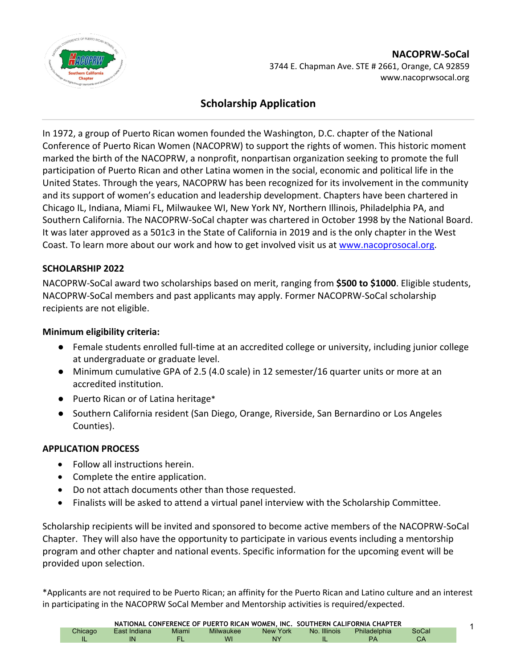

### **NACOPRW-SoCal** 3744 E. Chapman Ave. STE # 2661, Orange, CA 92859 www.nacoprwsocal.org

# **Scholarship Application**

In 1972, a group of Puerto Rican women founded the Washington, D.C. chapter of the National Conference of Puerto Rican Women (NACOPRW) to support the rights of women. This historic moment marked the birth of the NACOPRW, a nonprofit, nonpartisan organization seeking to promote the full participation of Puerto Rican and other Latina women in the social, economic and political life in the United States. Through the years, NACOPRW has been recognized for its involvement in the community and its support of women's education and leadership development. Chapters have been chartered in Chicago IL, Indiana, Miami FL, Milwaukee WI, New York NY, Northern Illinois, Philadelphia PA, and Southern California. The NACOPRW-SoCal chapter was chartered in October 1998 by the National Board. It was later approved as a 501c3 in the State of California in 2019 and is the only chapter in the West Coast. To learn more about our work and how to get involved visit us at www.nacoprosocal.org.

### **SCHOLARSHIP 2022**

NACOPRW-SoCal award two scholarships based on merit, ranging from **\$500 to \$1000**. Eligible students, NACOPRW-SoCal members and past applicants may apply. Former NACOPRW-SoCal scholarship recipients are not eligible.

### **Minimum eligibility criteria:**

- Female students enrolled full-time at an accredited college or university, including junior college at undergraduate or graduate level.
- Minimum cumulative GPA of 2.5 (4.0 scale) in 12 semester/16 quarter units or more at an accredited institution.
- Puerto Rican or of Latina heritage\*
- Southern California resident (San Diego, Orange, Riverside, San Bernardino or Los Angeles Counties).

### **APPLICATION PROCESS**

- Follow all instructions herein.
- Complete the entire application.
- Do not attach documents other than those requested.
- Finalists will be asked to attend a virtual panel interview with the Scholarship Committee.

Scholarship recipients will be invited and sponsored to become active members of the NACOPRW-SoCal Chapter. They will also have the opportunity to participate in various events including a mentorship program and other chapter and national events. Specific information for the upcoming event will be provided upon selection.

\*Applicants are not required to be Puerto Rican; an affinity for the Puerto Rican and Latino culture and an interest in participating in the NACOPRW SoCal Member and Mentorship activities is required/expected.

|         |              |       |           |           |              | NATIONAL CONFERENCE OF PUERTO RICAN WOMEN, INC. SOUTHERN CALIFORNIA CHAPTER |       |  |
|---------|--------------|-------|-----------|-----------|--------------|-----------------------------------------------------------------------------|-------|--|
| Chicago | East Indiana | Miami | Milwaukee | New York  | No. Illinois | Philadelphia                                                                | SoCal |  |
|         | IN           |       | wı        | <b>NY</b> |              | ⊾מ                                                                          | СA    |  |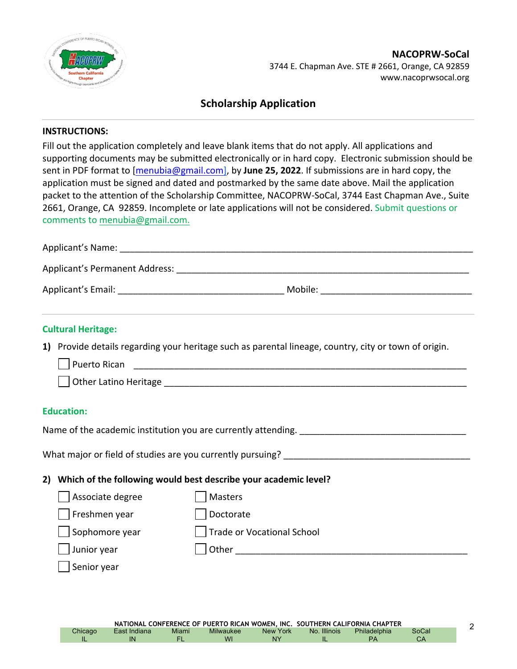

## **Scholarship Application**

#### **INSTRUCTIONS:**

Fill out the application completely and leave blank items that do not apply. All applications and supporting documents may be submitted electronically or in hard copy. Electronic submission should be sent in PDF format to [menubia@gmail.com], by **June 25, 2022**. If submissions are in hard copy, the application must be signed and dated and postmarked by the same date above. Mail the application packet to the attention of the Scholarship Committee, NACOPRW-SoCal, 3744 East Chapman Ave., Suite 2661, Orange, CA 92859. Incomplete or late applications will not be considered. Submit questions or comments to menubia@gmail.com.

| Applicant's Name:                     |         |  |
|---------------------------------------|---------|--|
| <b>Applicant's Permanent Address:</b> |         |  |
| Applicant's Email:                    | Mobile: |  |

#### **Cultural Heritage:**

**1)** Provide details regarding your heritage such as parental lineage, country, city or town of origin.

| Puerto Rican                 |  |  |
|------------------------------|--|--|
| $\Box$ Other Latino Heritage |  |  |

#### **Education:**

| Name of the academic institution you are currently attending.      |                            |  |  |  |  |  |
|--------------------------------------------------------------------|----------------------------|--|--|--|--|--|
| What major or field of studies are you currently pursuing?         |                            |  |  |  |  |  |
| 2) Which of the following would best describe your academic level? |                            |  |  |  |  |  |
| Associate degree                                                   | Masters                    |  |  |  |  |  |
| Freshmen year                                                      | Doctorate                  |  |  |  |  |  |
| Sophomore year                                                     | Trade or Vocational School |  |  |  |  |  |
| Junior year                                                        | Other                      |  |  |  |  |  |
| Senior year                                                        |                            |  |  |  |  |  |

|         |                    |       |                 |                       |              | NATIONAL CONFERENCE OF PUERTO RICAN WOMEN, INC. SOUTHERN CALIFORNIA CHAPTER |             |
|---------|--------------------|-------|-----------------|-----------------------|--------------|-----------------------------------------------------------------------------|-------------|
| Chicago | East Indiana<br>IN | Miami | Milwaukee<br>WI | New York<br><b>NY</b> | No. Illinois | Philadelphia<br>PА                                                          | SoCal<br>СA |
|         |                    |       |                 |                       |              |                                                                             |             |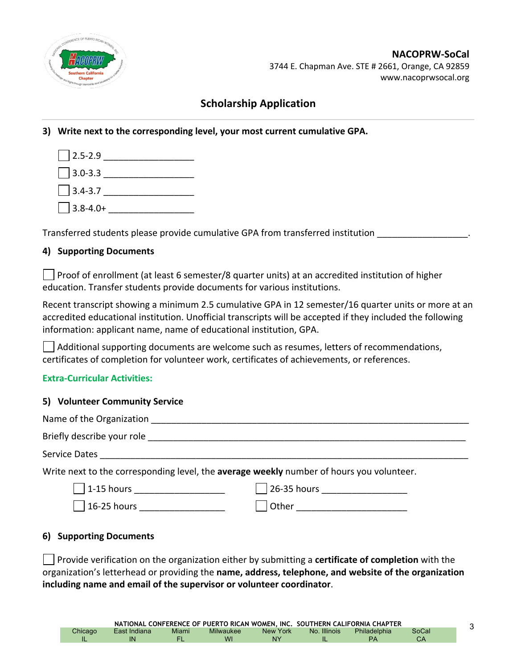

# **Scholarship Application**

### **3) Write next to the corresponding level, your most current cumulative GPA.**



Transferred students please provide cumulative GPA from transferred institution

### **4) Supporting Documents**

Proof of enrollment (at least 6 semester/8 quarter units) at an accredited institution of higher education. Transfer students provide documents for various institutions.

Recent transcript showing a minimum 2.5 cumulative GPA in 12 semester/16 quarter units or more at an accredited educational institution. Unofficial transcripts will be accepted if they included the following information: applicant name, name of educational institution, GPA.

Additional supporting documents are welcome such as resumes, letters of recommendations, certificates of completion for volunteer work, certificates of achievements, or references.

### **Extra-Curricular Activities:**

#### **5) Volunteer Community Service**

| Name of the Organization           |                                                                                          |
|------------------------------------|------------------------------------------------------------------------------------------|
| Briefly describe your role         |                                                                                          |
| Service Dates                      |                                                                                          |
|                                    | Write next to the corresponding level, the average weekly number of hours you volunteer. |
| $\boxed{\phantom{1}}$ 1-15 hours _ | $\sqrt{26-35}$ hours                                                                     |

 $\Box$  16-25 hours  $\Box$  Other

#### **6) Supporting Documents**

Provide verification on the organization either by submitting a **certificate of completion** with the organization's letterhead or providing the **name, address, telephone, and website of the organization including name and email of the supervisor or volunteer coordinator**.

|         |              |       |           |           |              | NATIONAL CONFERENCE OF PUERTO RICAN WOMEN, INC. SOUTHERN CALIFORNIA CHAPTER |       |
|---------|--------------|-------|-----------|-----------|--------------|-----------------------------------------------------------------------------|-------|
| Chicago | East Indiana | Miami | Milwaukee | New York  | No. Illinois | Philadelphia                                                                | SoCal |
|         | IN           |       | WI        | <b>NY</b> |              | PА                                                                          |       |